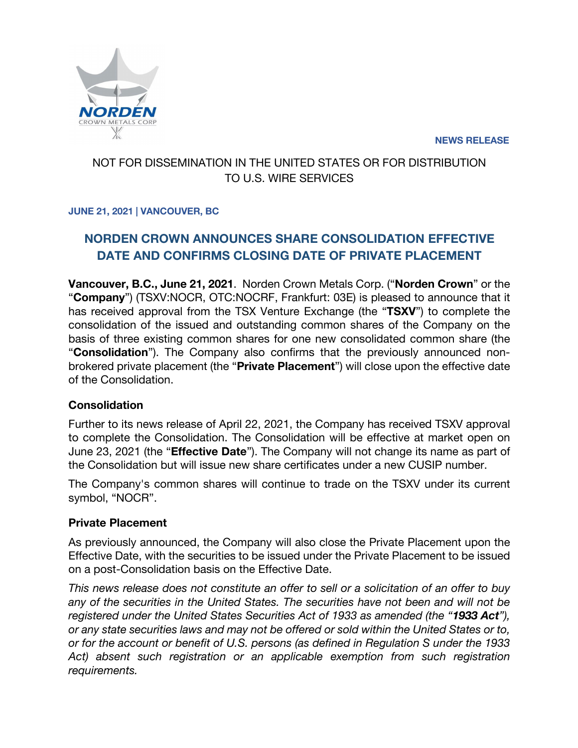**NEWS RELEASE**



# NOT FOR DISSEMINATION IN THE UNITED STATES OR FOR DISTRIBUTION TO U.S. WIRE SERVICES

### **JUNE 21, 2021 | VANCOUVER, BC**

# **NORDEN CROWN ANNOUNCES SHARE CONSOLIDATION EFFECTIVE DATE AND CONFIRMS CLOSING DATE OF PRIVATE PLACEMENT**

**Vancouver, B.C., June 21, 2021**. Norden Crown Metals Corp. ("**Norden Crown**" or the "**Company**") (TSXV:NOCR, OTC:NOCRF, Frankfurt: 03E) is pleased to announce that it has received approval from the TSX Venture Exchange (the "**TSXV**") to complete the consolidation of the issued and outstanding common shares of the Company on the basis of three existing common shares for one new consolidated common share (the "**Consolidation**"). The Company also confirms that the previously announced nonbrokered private placement (the "**Private Placement**") will close upon the effective date of the Consolidation.

## **Consolidation**

Further to its news release of April 22, 2021, the Company has received TSXV approval to complete the Consolidation. The Consolidation will be effective at market open on June 23, 2021 (the "**Effective Date**"). The Company will not change its name as part of the Consolidation but will issue new share certificates under a new CUSIP number.

The Company's common shares will continue to trade on the TSXV under its current symbol, "NOCR".

### **Private Placement**

As previously announced, the Company will also close the Private Placement upon the Effective Date, with the securities to be issued under the Private Placement to be issued on a post-Consolidation basis on the Effective Date.

*This news release does not constitute an offer to sell or a solicitation of an offer to buy any of the securities in the United States. The securities have not been and will not be registered under the United States Securities Act of 1933 as amended (the "1933 Act"), or any state securities laws and may not be offered or sold within the United States or to, or for the account or benefit of U.S. persons (as defined in Regulation S under the 1933 Act) absent such registration or an applicable exemption from such registration requirements.*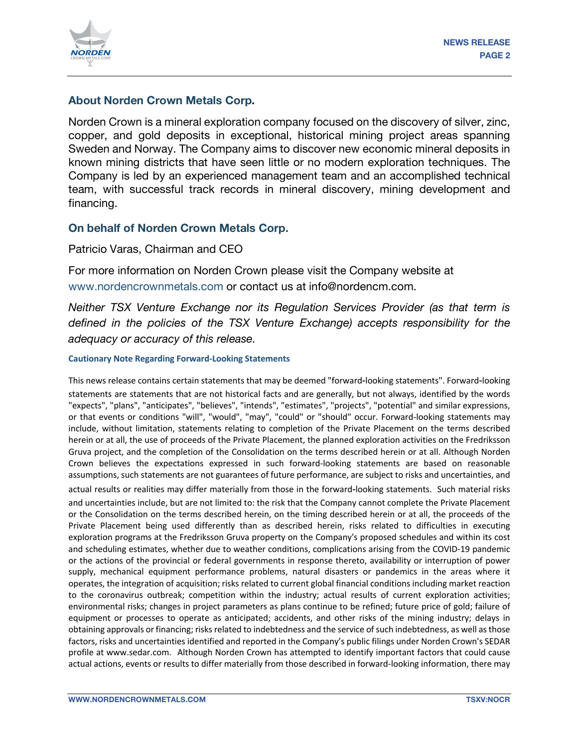

### **About Norden Crown Metals Corp.**

Norden Crown is a mineral exploration company focused on the discovery of silver, zinc, copper, and gold deposits in exceptional, historical mining project areas spanning Sweden and Norway. The Company aims to discover new economic mineral deposits in known mining districts that have seen little or no modern exploration techniques. The Company is led by an experienced management team and an accomplished technical team, with successful track records in mineral discovery, mining development and financing.

#### **On behalf of Norden Crown Metals Corp.**

Patricio Varas, Chairman and CEO

For more information on Norden Crown please visit the Company website at www.nordencrownmetals.com or contact us at info@nordencm.com.

*Neither TSX Venture Exchange nor its Regulation Services Provider (as that term is defined in the policies of the TSX Venture Exchange) accepts responsibility for the adequacy or accuracy of this release.* 

#### **Cautionary Note Regarding Forward-Looking Statements**

This news release contains certain statements that may be deemed "forward‐looking statements". Forward‐looking statements are statements that are not historical facts and are generally, but not always, identified by the words "expects", "plans", "anticipates", "believes", "intends", "estimates", "projects", "potential" and similar expressions, or that events or conditions "will", "would", "may", "could" or "should" occur. Forward-looking statements may include, without limitation, statements relating to completion of the Private Placement on the terms described herein or at all, the use of proceeds of the Private Placement, the planned exploration activities on the Fredriksson Gruva project, and the completion of the Consolidation on the terms described herein or at all. Although Norden Crown believes the expectations expressed in such forward-looking statements are based on reasonable assumptions, such statements are not guarantees of future performance, are subject to risks and uncertainties, and actual results or realities may differ materially from those in the forward-looking statements. Such material risks and uncertainties include, but are not limited to: the risk that the Company cannot complete the Private Placement or the Consolidation on the terms described herein, on the timing described herein or at all, the proceeds of the Private Placement being used differently than as described herein, risks related to difficulties in executing exploration programs at the Fredriksson Gruva property on the Company's proposed schedules and within its cost and scheduling estimates, whether due to weather conditions, complications arising from the COVID-19 pandemic or the actions of the provincial or federal governments in response thereto, availability or interruption of power supply, mechanical equipment performance problems, natural disasters or pandemics in the areas where it operates, the integration of acquisition; risks related to current global financial conditions including market reaction to the coronavirus outbreak; competition within the industry; actual results of current exploration activities; environmental risks; changes in project parameters as plans continue to be refined; future price of gold; failure of equipment or processes to operate as anticipated; accidents, and other risks of the mining industry; delays in obtaining approvals or financing; risks related to indebtedness and the service of such indebtedness, as well as those factors, risks and uncertainties identified and reported in the Company's public filings under Norden Crown's SEDAR profile at www.sedar.com. Although Norden Crown has attempted to identify important factors that could cause actual actions, events or results to differ materially from those described in forward-looking information, there may